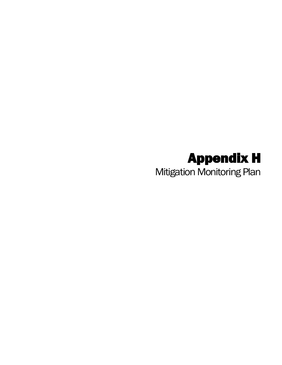## Appendix H

Mitigation Monitoring Plan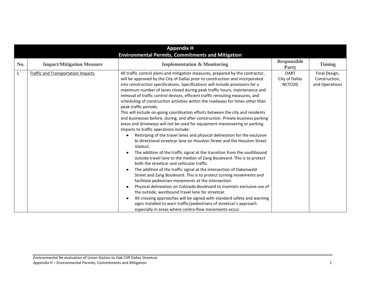| <b>Appendix H</b><br><b>Environmental Permits, Commitments and Mitigation</b> |                                           |                                                                                                                                                                                                                                                                                                                                                                                                                                                                                                                                                                                                                                                                                                                                                                                                                                                                                                                                                                                                                                                                                                                                                                                                                                                                                                                                                                                                                                                                                                                                                                                                                                                                                                                                                                                                      |                                                |                                                  |
|-------------------------------------------------------------------------------|-------------------------------------------|------------------------------------------------------------------------------------------------------------------------------------------------------------------------------------------------------------------------------------------------------------------------------------------------------------------------------------------------------------------------------------------------------------------------------------------------------------------------------------------------------------------------------------------------------------------------------------------------------------------------------------------------------------------------------------------------------------------------------------------------------------------------------------------------------------------------------------------------------------------------------------------------------------------------------------------------------------------------------------------------------------------------------------------------------------------------------------------------------------------------------------------------------------------------------------------------------------------------------------------------------------------------------------------------------------------------------------------------------------------------------------------------------------------------------------------------------------------------------------------------------------------------------------------------------------------------------------------------------------------------------------------------------------------------------------------------------------------------------------------------------------------------------------------------------|------------------------------------------------|--------------------------------------------------|
| No.                                                                           | <b>Impact/Mitigation Measure</b>          | <b>Implementation &amp; Monitoring</b>                                                                                                                                                                                                                                                                                                                                                                                                                                                                                                                                                                                                                                                                                                                                                                                                                                                                                                                                                                                                                                                                                                                                                                                                                                                                                                                                                                                                                                                                                                                                                                                                                                                                                                                                                               | <b>Responsible</b><br>Party                    | <b>Timing</b>                                    |
| 1.                                                                            | <b>Traffic and Transportation Impacts</b> | All traffic control plans and mitigation measures, prepared by the contractor,<br>will be approved by the City of Dallas prior to construction and incorporated<br>into construction specifications. Specifications will include provisions for a<br>maximum number of lanes closed during peak traffic hours, maintenance and<br>removal of traffic control devices, efficient traffic rerouting measures, and<br>scheduling of construction activities within the roadways for times other than<br>peak traffic periods.<br>This will include on-going coordination efforts between the city and residents<br>and businesses before, during, and after construction. Private business parking<br>areas and driveways will not be used for equipment maneuvering or parking.<br>Impacts to traffic operations include:<br>Restriping of the travel lanes and physical delineation for the exclusive<br>bi-directional streetcar lane on Houston Street and the Houston Street<br>Viaduct.<br>The addition of the traffic signal at the transition from the southbound<br>$\bullet$<br>outside travel lane to the median of Zang Boulevard. This is to protect<br>both the streetcar and vehicular traffic.<br>The addition of the traffic signal at the intersection of Oakenwald<br>$\bullet$<br>Street and Zang Boulevard. This is to protect turning movements and<br>facilitate pedestrian movements at the intersection.<br>Physical delineation on Colorado Boulevard to maintain exclusive use of<br>$\bullet$<br>the outside, westbound travel lane for streetcar.<br>All crossing approaches will be signed with standard safety and warning<br>$\bullet$<br>signs installed to warn traffic/pedestrians of streetcar's approach<br>especially in areas where contra-flow movements occur. | <b>DART</b><br>City of Dallas<br><b>NCTCOG</b> | Final Design,<br>Construction,<br>and Operations |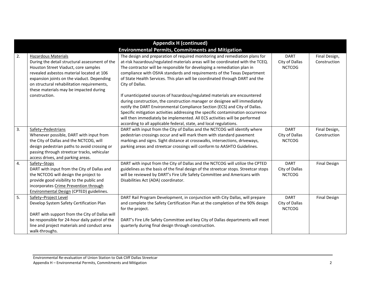| <b>Appendix H (continued)</b>                            |                                                                                   |                                                                                                                                                         |                                 |                     |  |
|----------------------------------------------------------|-----------------------------------------------------------------------------------|---------------------------------------------------------------------------------------------------------------------------------------------------------|---------------------------------|---------------------|--|
| <b>Environmental Permits, Commitments and Mitigation</b> |                                                                                   |                                                                                                                                                         |                                 |                     |  |
| 2.                                                       | <b>Hazardous Materials</b>                                                        | The design and preparation of required monitoring and remediation plans for                                                                             | <b>DART</b>                     | Final Design,       |  |
|                                                          | During the detail structural assessment of the                                    | at-risk hazardous/regulated materials areas will be coordinated with the TCEQ.                                                                          | City of Dallas<br><b>NCTCOG</b> | Construction        |  |
|                                                          | Houston Street Viaduct, core samples<br>revealed asbestos material located at 106 | The contractor will be responsible for developing a remediation plan in                                                                                 |                                 |                     |  |
|                                                          | expansion joints on the viaduct. Depending                                        | compliance with OSHA standards and requirements of the Texas Department<br>of State Health Services. This plan will be coordinated through DART and the |                                 |                     |  |
|                                                          | on structural rehabilitation requirements,                                        | City of Dallas.                                                                                                                                         |                                 |                     |  |
|                                                          | these materials may be impacted during                                            |                                                                                                                                                         |                                 |                     |  |
|                                                          | construction.                                                                     | If unanticipated sources of hazardous/regulated materials are encountered                                                                               |                                 |                     |  |
|                                                          |                                                                                   | during construction, the construction manager or designee will immediately                                                                              |                                 |                     |  |
|                                                          |                                                                                   | notify the DART Environmental Compliance Section (ECS) and City of Dallas.                                                                              |                                 |                     |  |
|                                                          |                                                                                   | Specific mitigation activities addressing the specific contamination occurrence                                                                         |                                 |                     |  |
|                                                          |                                                                                   | will then immediately be implemented. All ECS activities will be performed                                                                              |                                 |                     |  |
|                                                          |                                                                                   | according to all applicable federal, state, and local regulations.                                                                                      |                                 |                     |  |
| 3.                                                       | Safety-Pedestrians                                                                | DART with input from the City of Dallas and the NCTCOG will identify where                                                                              | <b>DART</b>                     | Final Design,       |  |
|                                                          | Whenever possible, DART with input from                                           | pedestrian crossings occur and will mark them with standard pavement                                                                                    | City of Dallas                  | Construction        |  |
|                                                          | the City of Dallas and the NCTCOG, will                                           | markings and signs. Sight distance at crosswalks, intersections, driveways,                                                                             | <b>NCTCOG</b>                   |                     |  |
|                                                          | design pedestrian paths to avoid crossing or                                      | parking areas and streetcar crossings will conform to AASHTO Guidelines.                                                                                |                                 |                     |  |
|                                                          | passing through streetcar tracks, vehicular                                       |                                                                                                                                                         |                                 |                     |  |
|                                                          | access drives, and parking areas.                                                 |                                                                                                                                                         |                                 |                     |  |
| 4.                                                       | Safety-Stops                                                                      | DART with input from the City of Dallas and the NCTCOG will utilize the CPTED                                                                           | <b>DART</b>                     | <b>Final Design</b> |  |
|                                                          | DART with input from the City of Dallas and                                       | guidelines as the basis of the final design of the streetcar stops. Streetcar stops                                                                     | City of Dallas                  |                     |  |
|                                                          | the NCTCOG will design the project to                                             | will be reviewed by DART's Fire Life Safety Committee and Americans with                                                                                | <b>NCTCOG</b>                   |                     |  |
|                                                          | provide good visibility to the public and                                         | Disabilities Act (ADA) coordinator.                                                                                                                     |                                 |                     |  |
|                                                          | incorporates Crime Prevention through                                             |                                                                                                                                                         |                                 |                     |  |
|                                                          | Environmental Design (CPTED) guidelines.                                          |                                                                                                                                                         |                                 |                     |  |
| 5.                                                       | Safety-Project Level                                                              | DART Rail Program Development, in conjunction with City Dallas, will prepare                                                                            | <b>DART</b>                     | <b>Final Design</b> |  |
|                                                          | Develop System Safety Certification Plan                                          | and complete the Safety Certification Plan at the completion of the 90% design                                                                          | City of Dallas                  |                     |  |
|                                                          |                                                                                   | for the project.                                                                                                                                        | <b>NCTCOG</b>                   |                     |  |
|                                                          | DART with support from the City of Dallas will                                    |                                                                                                                                                         |                                 |                     |  |
|                                                          | be responsible for 24-hour daily patrol of the                                    | DART's Fire Life Safety Committee and key City of Dallas departments will meet                                                                          |                                 |                     |  |
|                                                          | line and project materials and conduct area                                       | quarterly during final design through construction.                                                                                                     |                                 |                     |  |
|                                                          | walk-throughs.                                                                    |                                                                                                                                                         |                                 |                     |  |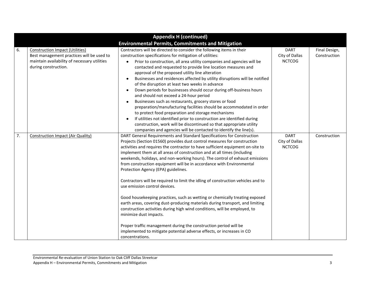|                                                          | <b>Appendix H (continued)</b>                                                                                                                               |                                                                                                                                                                                                                                                                                                                                                                                                                                                                                                                                                                                                                                                                                                                                                                                                                                                                                                                                                                                                                                                                            |                                                |                               |  |
|----------------------------------------------------------|-------------------------------------------------------------------------------------------------------------------------------------------------------------|----------------------------------------------------------------------------------------------------------------------------------------------------------------------------------------------------------------------------------------------------------------------------------------------------------------------------------------------------------------------------------------------------------------------------------------------------------------------------------------------------------------------------------------------------------------------------------------------------------------------------------------------------------------------------------------------------------------------------------------------------------------------------------------------------------------------------------------------------------------------------------------------------------------------------------------------------------------------------------------------------------------------------------------------------------------------------|------------------------------------------------|-------------------------------|--|
| <b>Environmental Permits, Commitments and Mitigation</b> |                                                                                                                                                             |                                                                                                                                                                                                                                                                                                                                                                                                                                                                                                                                                                                                                                                                                                                                                                                                                                                                                                                                                                                                                                                                            |                                                |                               |  |
| 6.                                                       | <b>Construction Impact (Utilities)</b><br>Best management practices will be used to<br>maintain availability of necessary utilities<br>during construction. | Contractors will be directed to consider the following items in their<br>construction specifications for mitigation of utilities:<br>Prior to construction, all area utility companies and agencies will be<br>contacted and requested to provide line location measures and<br>approval of the proposed utility line alteration<br>Businesses and residences affected by utility disruptions will be notified<br>$\bullet$<br>of the disruption at least two weeks in advance<br>Down periods for businesses should occur during off-business hours<br>and should not exceed a 24-hour period<br>Businesses such as restaurants, grocery stores or food<br>preparation/manufacturing facilities should be accommodated in order<br>to protect food preparation and storage mechanisms<br>If utilities not identified prior to construction are identified during<br>construction, work will be discontinued so that appropriate utility<br>companies and agencies will be contacted to identify the line(s).                                                              | <b>DART</b><br>City of Dallas<br><b>NCTCOG</b> | Final Design,<br>Construction |  |
| 7.                                                       | <b>Construction Impact (Air Quality)</b>                                                                                                                    | DART General Requirements and Standard Specifications for Construction<br>Projects (Section 01560) provides dust control measures for construction<br>activities and requires the contractor to have sufficient equipment on-site to<br>implement them at all areas of construction and at all times (including<br>weekends, holidays, and non-working hours). The control of exhaust emissions<br>from construction equipment will be in accordance with Environmental<br>Protection Agency (EPA) guidelines.<br>Contractors will be required to limit the idling of construction vehicles and to<br>use emission control devices.<br>Good housekeeping practices, such as wetting or chemically treating exposed<br>earth areas, covering dust-producing materials during transport, and limiting<br>construction activities during high wind conditions, will be employed, to<br>minimize dust impacts.<br>Proper traffic management during the construction period will be<br>implemented to mitigate potential adverse effects, or increases in CO<br>concentrations. | <b>DART</b><br>City of Dallas<br><b>NCTCOG</b> | Construction                  |  |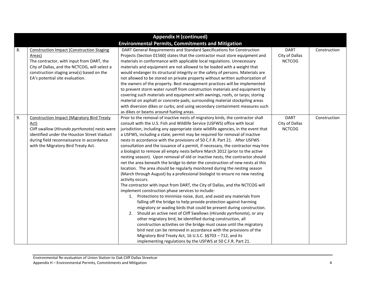| <b>Appendix H (continued)</b> |                                                                                                                                                                                                                                               |                                                                                                                                                                                                                                                                                                                                                                                                                                                                                                                                                                                                                                                                                                                                                                                                                                                                                                                                                                                                                                                                                                                                                                                                                                                                                                                                                                                                                                                                                                                                                                                                                                                                                                                        |                                                |              |
|-------------------------------|-----------------------------------------------------------------------------------------------------------------------------------------------------------------------------------------------------------------------------------------------|------------------------------------------------------------------------------------------------------------------------------------------------------------------------------------------------------------------------------------------------------------------------------------------------------------------------------------------------------------------------------------------------------------------------------------------------------------------------------------------------------------------------------------------------------------------------------------------------------------------------------------------------------------------------------------------------------------------------------------------------------------------------------------------------------------------------------------------------------------------------------------------------------------------------------------------------------------------------------------------------------------------------------------------------------------------------------------------------------------------------------------------------------------------------------------------------------------------------------------------------------------------------------------------------------------------------------------------------------------------------------------------------------------------------------------------------------------------------------------------------------------------------------------------------------------------------------------------------------------------------------------------------------------------------------------------------------------------------|------------------------------------------------|--------------|
| 8.                            | <b>Construction Impact (Construction Staging</b><br>Areas)<br>The contractor, with input from DART, the<br>City of Dallas, and the NCTCOG, will select a<br>construction staging area(s) based on the<br>EA's potential site evaluation.      | <b>Environmental Permits, Commitments and Mitigation</b><br>DART General Requirements and Standard Specifications for Construction<br>Projects (Section 01560) states that the contractor must store equipment and<br>materials in conformance with applicable local regulations. Unnecessary<br>materials and equipment are not allowed to be loaded with a weight that<br>would endanger its structural integrity or the safety of persons. Materials are<br>not allowed to be stored on private property without written authorization of<br>the owners of the property. Best management practices will be implemented<br>to prevent storm water runoff from construction materials and equipment by<br>covering such materials and equipment with awnings, roofs, or tarps; storing<br>material on asphalt or concrete pads; surrounding material stockpiling areas<br>with diversion dikes or curbs; and using secondary containment measures such<br>as dikes or beams around fueling areas.                                                                                                                                                                                                                                                                                                                                                                                                                                                                                                                                                                                                                                                                                                                     | <b>DART</b><br>City of Dallas<br><b>NCTCOG</b> | Construction |
| 9.                            | <b>Construction Impact (Migratory Bird Treaty</b><br>Act)<br>Cliff swallow (Hirundo pyrrhonota) nests were<br>identified under the Houston Street Viaduct<br>during field reconnaissance in accordance<br>with the Migratory Bird Treaty Act. | Prior to the removal of inactive nests of migratory birds, the contractor shall<br>consult with the U.S. Fish and Wildlife Service (USFWS) office with local<br>jurisdiction, including any appropriate state wildlife agencies, in the event that<br>a USFWS, including a state, permit may be required for removal of inactive<br>nests in accordance with the provisions of 50 C.F.R. Part 21. After USFWS<br>consultation and the issuance of a permit, if necessary, the contractor may hire<br>a biologist to remove all empty nests before March 2012 (prior to the active<br>nesting season). Upon removal of old or inactive nests, the contractor should<br>net the area beneath the bridge to deter the construction of new nests at this<br>location. The area should be regularly monitored during the nesting season<br>(March through August) by a professional biologist to ensure no new nesting<br>activity occurs.<br>The contractor with input from DART, the City of Dallas, and the NCTCOG will<br>implement construction phase services to include:<br>1. Protections to minimize noise, dust, and avoid any materials from<br>falling off the bridge to help provide protection against harming<br>migratory or wading birds that could be present during construction.<br>Should an active nest of Cliff Swallows (Hirundo pyrrhonota), or any<br>2.<br>other migratory bird, be identified during construction, all<br>construction activities on the bridge must cease until the migratory<br>bird nest can be removed in accordance with the provisions of the<br>Migratory Bird Treaty Act, 16 U.S.C. §§703 - 712, and its<br>implementing regulations by the USFWS at 50 C.F.R. Part 21. | <b>DART</b><br>City of Dallas<br><b>NCTCOG</b> | Construction |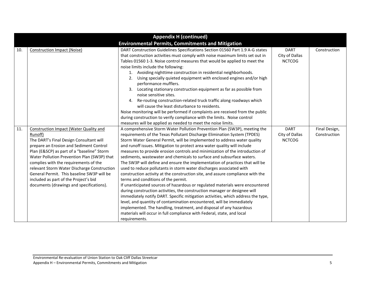|     | <b>Appendix H (continued)</b>                                                                                                                                                                                                                                                                                                                                                                                                                                   |                                                                                                                                                                                                                                                                                                                                                                                                                                                                                                                                                                                                                                                                                                                                                                                                                                                                                                                                                                                                                                                                                                                                                                                                                                                                                                                     |                                                |                               |  |
|-----|-----------------------------------------------------------------------------------------------------------------------------------------------------------------------------------------------------------------------------------------------------------------------------------------------------------------------------------------------------------------------------------------------------------------------------------------------------------------|---------------------------------------------------------------------------------------------------------------------------------------------------------------------------------------------------------------------------------------------------------------------------------------------------------------------------------------------------------------------------------------------------------------------------------------------------------------------------------------------------------------------------------------------------------------------------------------------------------------------------------------------------------------------------------------------------------------------------------------------------------------------------------------------------------------------------------------------------------------------------------------------------------------------------------------------------------------------------------------------------------------------------------------------------------------------------------------------------------------------------------------------------------------------------------------------------------------------------------------------------------------------------------------------------------------------|------------------------------------------------|-------------------------------|--|
|     | <b>Environmental Permits, Commitments and Mitigation</b>                                                                                                                                                                                                                                                                                                                                                                                                        |                                                                                                                                                                                                                                                                                                                                                                                                                                                                                                                                                                                                                                                                                                                                                                                                                                                                                                                                                                                                                                                                                                                                                                                                                                                                                                                     |                                                |                               |  |
| 10. | <b>Construction Impact (Noise)</b>                                                                                                                                                                                                                                                                                                                                                                                                                              | DART Construction Guidelines Specifications Section 01560 Part 1.9 A-G states<br>that construction activities must comply with noise maximum limits set out in<br>Tables 01560 1-3. Noise control measures that would be applied to meet the<br>noise limits include the following:<br>1. Avoiding nighttime construction in residential neighborhoods.<br>Using specially quieted equipment with enclosed engines and/or high<br>2.<br>performance mufflers.<br>Locating stationary construction equipment as far as possible from<br>noise sensitive sites.<br>4. Re-routing construction-related truck traffic along roadways which<br>will cause the least disturbance to residents.<br>Noise monitoring will be performed if complaints are received from the public<br>during construction to verify compliance with the limits. Noise control                                                                                                                                                                                                                                                                                                                                                                                                                                                                | <b>DART</b><br>City of Dallas<br><b>NCTCOG</b> | Construction                  |  |
| 11. | Construction Impact (Water Quality and<br>Runoff)<br>The DART's Final Design Consultant will<br>prepare an Erosion and Sediment Control<br>Plan (E&SCP) as part of a "baseline" Storm<br>Water Pollution Prevention Plan (SW3P) that<br>complies with the requirements of the<br>relevant Storm Water Discharge Construction<br>General Permit. This baseline SW3P will be<br>included as part of the Project's bid<br>documents (drawings and specifications). | measures will be applied as needed to meet the noise limits.<br>A comprehensive Storm Water Pollution Prevention Plan (SW3P), meeting the<br>requirements of the Texas Pollutant Discharge Elimination System (TPDES)<br>Storm Water General Permit, will be implemented to address water quality<br>and runoff issues. Mitigation to protect area water quality will include<br>measures to provide erosion controls and minimization of the introduction of<br>sediments, wastewater and chemicals to surface and subsurface waters.<br>The SW3P will define and ensure the implementation of practices that will be<br>used to reduce pollutants in storm water discharges associated with<br>construction activity at the construction site, and assure compliance with the<br>terms and conditions of the permit.<br>If unanticipated sources of hazardous or regulated materials were encountered<br>during construction activities, the construction manager or designee will<br>immediately notify DART. Specific mitigation activities, which address the type,<br>level, and quantity of contamination encountered, will be immediately<br>implemented. The handling, treatment, and disposal of any hazardous<br>materials will occur in full compliance with Federal, state, and local<br>requirements. | <b>DART</b><br>City of Dallas<br><b>NCTCOG</b> | Final Design,<br>Construction |  |